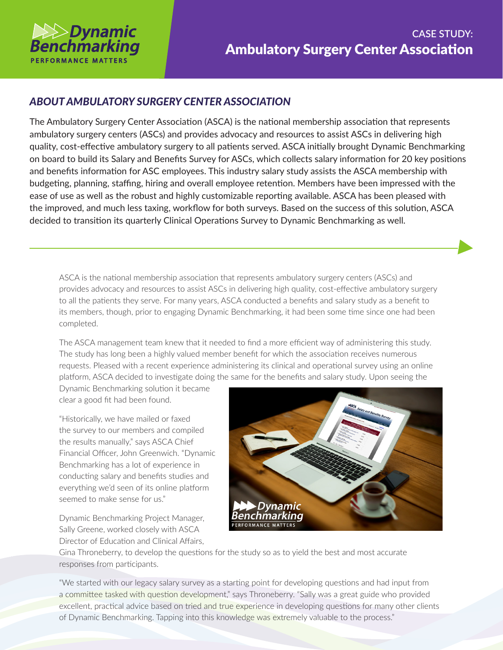

## *ABOUT AMBULATORY SURGERY CENTER ASSOCIATION*

The Ambulatory Surgery Center Association (ASCA) is the national membership association that represents ambulatory surgery centers (ASCs) and provides advocacy and resources to assist ASCs in delivering high quality, cost-effective ambulatory surgery to all patients served. ASCA initially brought Dynamic Benchmarking on board to build its Salary and Benefits Survey for ASCs, which collects salary information for 20 key positions and benefits information for ASC employees. This industry salary study assists the ASCA membership with budgeting, planning, staffing, hiring and overall employee retention. Members have been impressed with the ease of use as well as the robust and highly customizable reporting available. ASCA has been pleased with the improved, and much less taxing, workflow for both surveys. Based on the success of this solution, ASCA decided to transition its quarterly Clinical Operations Survey to Dynamic Benchmarking as well.

ASCA is the national membership association that represents ambulatory surgery centers (ASCs) and provides advocacy and resources to assist ASCs in delivering high quality, cost-effective ambulatory surgery to all the patients they serve. For many years, ASCA conducted a benefits and salary study as a benefit to its members, though, prior to engaging Dynamic Benchmarking, it had been some time since one had been completed.

The ASCA management team knew that it needed to find a more efficient way of administering this study. The study has long been a highly valued member benefit for which the association receives numerous requests. Pleased with a recent experience administering its clinical and operational survey using an online platform, ASCA decided to investigate doing the same for the benefits and salary study. Upon seeing the

Dynamic Benchmarking solution it became clear a good fit had been found.

"Historically, we have mailed or faxed the survey to our members and compiled the results manually," says ASCA Chief Financial Officer, John Greenwich. "Dynamic Benchmarking has a lot of experience in conducting salary and benefits studies and everything we'd seen of its online platform seemed to make sense for us."

Dynamic Benchmarking Project Manager, Sally Greene, worked closely with ASCA Director of Education and Clinical Affairs,



Gina Throneberry, to develop the questions for the study so as to yield the best and most accurate responses from participants.

"We started with our legacy salary survey as a starting point for developing questions and had input from a committee tasked with question development," says Throneberry. "Sally was a great guide who provided excellent, practical advice based on tried and true experience in developing questions for many other clients of Dynamic Benchmarking. Tapping into this knowledge was extremely valuable to the process."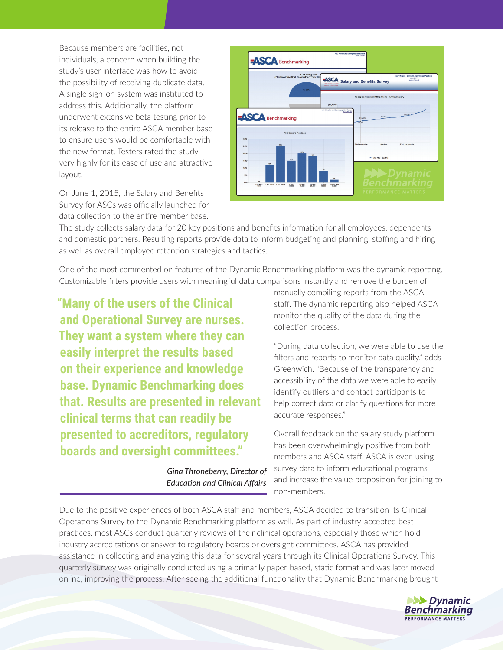Because members are facilities, not individuals, a concern when building the study's user interface was how to avoid the possibility of receiving duplicate data. A single sign-on system was instituted to address this. Additionally, the platform underwent extensive beta testing prior to its release to the entire ASCA member base to ensure users would be comfortable with the new format. Testers rated the study very highly for its ease of use and attractive layout.

On June 1, 2015, the Salary and Benefits Survey for ASCs was officially launched for data collection to the entire member base.



The study collects salary data for 20 key positions and benefits information for all employees, dependents and domestic partners. Resulting reports provide data to inform budgeting and planning, staffing and hiring as well as overall employee retention strategies and tactics.

One of the most commented on features of the Dynamic Benchmarking platform was the dynamic reporting. Customizable filters provide users with meaningful data comparisons instantly and remove the burden of

**"Many of the users of the Clinical and Operational Survey are nurses. They want a system where they can easily interpret the results based on their experience and knowledge base. Dynamic Benchmarking does that. Results are presented in relevant clinical terms that can readily be presented to accreditors, regulatory boards and oversight committees."**

> *Gina Throneberry, Director of Education and Clinical Affairs*

manually compiling reports from the ASCA staff. The dynamic reporting also helped ASCA monitor the quality of the data during the collection process.

"During data collection, we were able to use the filters and reports to monitor data quality," adds Greenwich. "Because of the transparency and accessibility of the data we were able to easily identify outliers and contact participants to help correct data or clarify questions for more accurate responses."

Overall feedback on the salary study platform has been overwhelmingly positive from both members and ASCA staff. ASCA is even using survey data to inform educational programs and increase the value proposition for joining to non-members.

Due to the positive experiences of both ASCA staff and members, ASCA decided to transition its Clinical Operations Survey to the Dynamic Benchmarking platform as well. As part of industry-accepted best practices, most ASCs conduct quarterly reviews of their clinical operations, especially those which hold industry accreditations or answer to regulatory boards or oversight committees. ASCA has provided assistance in collecting and analyzing this data for several years through its Clinical Operations Survey. This quarterly survey was originally conducted using a primarily paper-based, static format and was later moved online, improving the process. After seeing the additional functionality that Dynamic Benchmarking brought